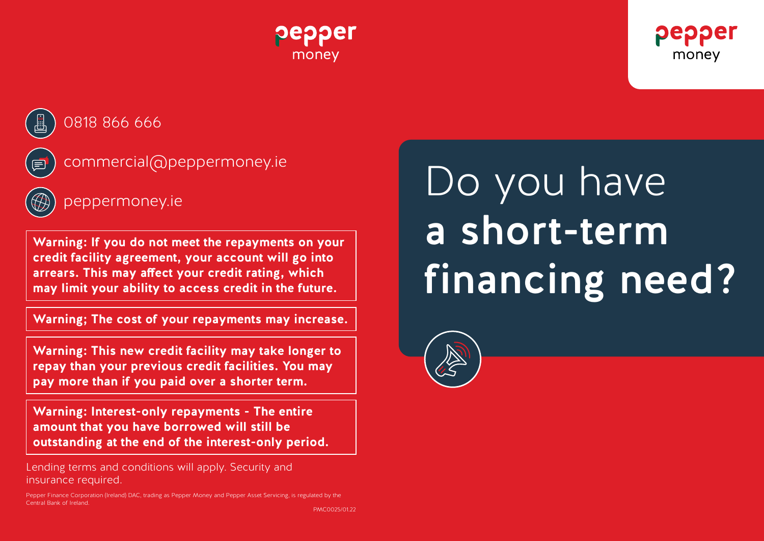





0818 866 666

commercial@peppermoney.ie

**Warning: If you do not meet the repayments on your credit facility agreement, your account will go into arrears. This may affect your credit rating, which may limit your ability to access credit in the future.**

**Warning; The cost of your repayments may increase.**

**Warning: This new credit facility may take longer to repay than your previous credit facilities. You may pay more than if you paid over a shorter term.**

**Warning: Interest-only repayments - The entire amount that you have borrowed will still be outstanding at the end of the interest-only period.**

Lending terms and conditions will apply. Security and insurance required.

Pepper Finance Corporation (Ireland) DAC, trading as Pepper Money and Pepper Asset Servicing, is regulated by the Central Bank of Ireland.

PMC0025/01.22

peppermoney.ie Do you have a short-term financing need?